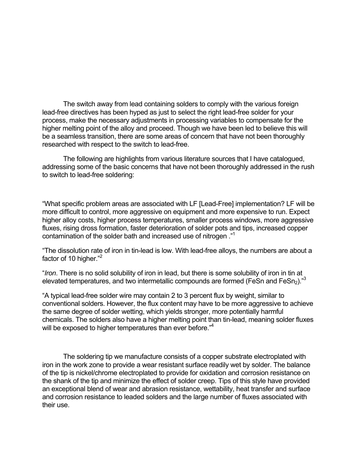The switch away from lead containing solders to comply with the various foreign lead-free directives has been hyped as just to select the right lead-free solder for your process, make the necessary adjustments in processing variables to compensate for the higher melting point of the alloy and proceed. Though we have been led to believe this will be a seamless transition, there are some areas of concern that have not been thoroughly researched with respect to the switch to lead-free.

The following are highlights from various literature sources that I have catalogued, addressing some of the basic concerns that have not been thoroughly addressed in the rush to switch to lead-free soldering:

"What specific problem areas are associated with LF [Lead-Free] implementation? LF will be more difficult to control, more aggressive on equipment and more expensive to run. Expect higher alloy costs, higher process temperatures, smaller process windows, more aggressive fluxes, rising dross formation, faster deterioration of solder pots and tips, increased copper contamination of the solder bath and increased use of nitrogen ."1

"The dissolution rate of iron in tin-lead is low. With lead-free alloys, the numbers are about a factor of 10 higher."<sup>2</sup>

"*Iron*. There is no solid solubility of iron in lead, but there is some solubility of iron in tin at elevated temperatures, and two intermetallic compounds are formed (FeSn and FeSn<sub>2</sub>)."<sup>3</sup>

"A typical lead-free solder wire may contain 2 to 3 percent flux by weight, similar to conventional solders. However, the flux content may have to be more aggressive to achieve the same degree of solder wetting, which yields stronger, more potentially harmful chemicals. The solders also have a higher melting point than tin-lead, meaning solder fluxes will be exposed to higher temperatures than ever before."<sup>4</sup>

The soldering tip we manufacture consists of a copper substrate electroplated with iron in the work zone to provide a wear resistant surface readily wet by solder. The balance of the tip is nickel/chrome electroplated to provide for oxidation and corrosion resistance on the shank of the tip and minimize the effect of solder creep. Tips of this style have provided an exceptional blend of wear and abrasion resistance, wettability, heat transfer and surface and corrosion resistance to leaded solders and the large number of fluxes associated with their use.